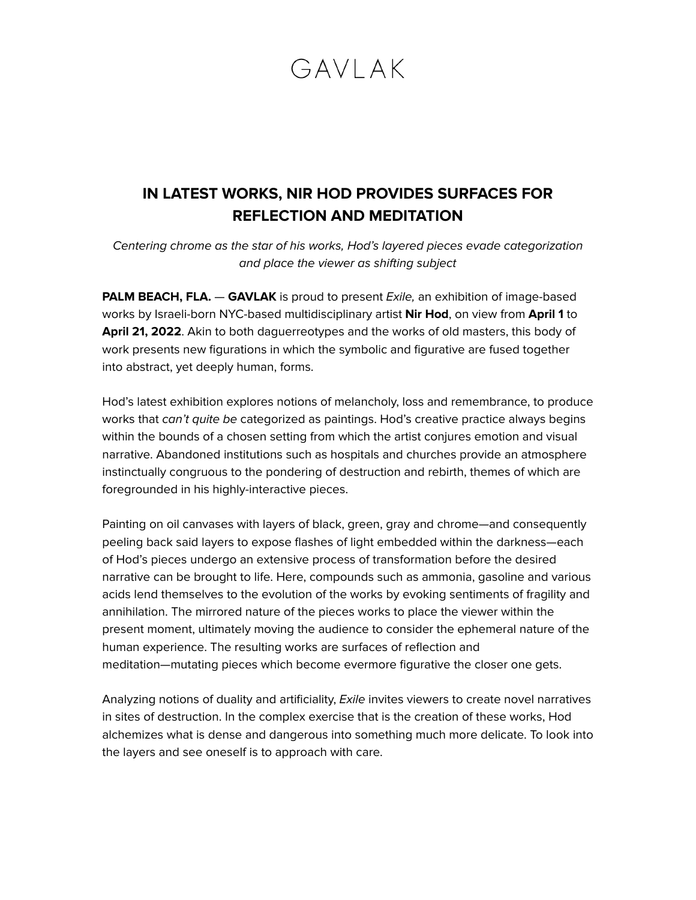# GAVI AK

### **IN LATEST WORKS, NIR HOD PROVIDES SURFACES FOR REFLECTION AND MEDITATION**

Centering chrome as the star of his works, Hod's layered pieces evade categorization and place the viewer as shifting subject

**PALM BEACH, FLA. - GAVLAK** is proud to present *Exile*, an exhibition of image-based works by Israeli-born NYC-based multidisciplinary artist **Nir Hod**, on view from **April 1** to **April 21, 2022**. Akin to both daguerreotypes and the works of old masters, this body of work presents new figurations in which the symbolic and figurative are fused together into abstract, yet deeply human, forms.

Hod's latest exhibition explores notions of melancholy, loss and remembrance, to produce works that can't quite be categorized as paintings. Hod's creative practice always begins within the bounds of a chosen setting from which the artist conjures emotion and visual narrative. Abandoned institutions such as hospitals and churches provide an atmosphere instinctually congruous to the pondering of destruction and rebirth, themes of which are foregrounded in his highly-interactive pieces.

Painting on oil canvases with layers of black, green, gray and chrome—and consequently peeling back said layers to expose flashes of light embedded within the darkness—each of Hod's pieces undergo an extensive process of transformation before the desired narrative can be brought to life. Here, compounds such as ammonia, gasoline and various acids lend themselves to the evolution of the works by evoking sentiments of fragility and annihilation. The mirrored nature of the pieces works to place the viewer within the present moment, ultimately moving the audience to consider the ephemeral nature of the human experience. The resulting works are surfaces of reflection and meditation—mutating pieces which become evermore figurative the closer one gets.

Analyzing notions of duality and artificiality, Exile invites viewers to create novel narratives in sites of destruction. In the complex exercise that is the creation of these works, Hod alchemizes what is dense and dangerous into something much more delicate. To look into the layers and see oneself is to approach with care.